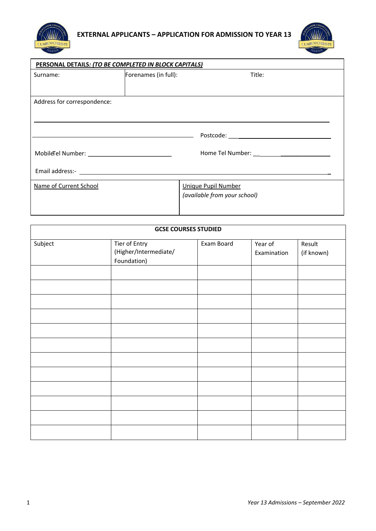



| PERSONAL DETAILS: (TO BE COMPLETED IN BLOCK CAPITALS)                                                                                                                                                                          |                      |                              |  |
|--------------------------------------------------------------------------------------------------------------------------------------------------------------------------------------------------------------------------------|----------------------|------------------------------|--|
| Surname:                                                                                                                                                                                                                       | Forenames (in full): | Title:                       |  |
|                                                                                                                                                                                                                                |                      |                              |  |
| Address for correspondence:                                                                                                                                                                                                    |                      |                              |  |
|                                                                                                                                                                                                                                |                      |                              |  |
|                                                                                                                                                                                                                                |                      |                              |  |
|                                                                                                                                                                                                                                |                      |                              |  |
| MobileTel Number: NobileTel Number:                                                                                                                                                                                            |                      |                              |  |
| Email address:- The contract of the contract of the contract of the contract of the contract of the contract of the contract of the contract of the contract of the contract of the contract of the contract of the contract o |                      |                              |  |
| Name of Current School                                                                                                                                                                                                         |                      | <b>Unique Pupil Number</b>   |  |
|                                                                                                                                                                                                                                |                      | (available from your school) |  |
|                                                                                                                                                                                                                                |                      |                              |  |

| <b>GCSE COURSES STUDIED</b> |                                                       |            |                        |                      |
|-----------------------------|-------------------------------------------------------|------------|------------------------|----------------------|
| Subject                     | Tier of Entry<br>(Higher/Intermediate/<br>Foundation) | Exam Board | Year of<br>Examination | Result<br>(if known) |
|                             |                                                       |            |                        |                      |
|                             |                                                       |            |                        |                      |
|                             |                                                       |            |                        |                      |
|                             |                                                       |            |                        |                      |
|                             |                                                       |            |                        |                      |
|                             |                                                       |            |                        |                      |